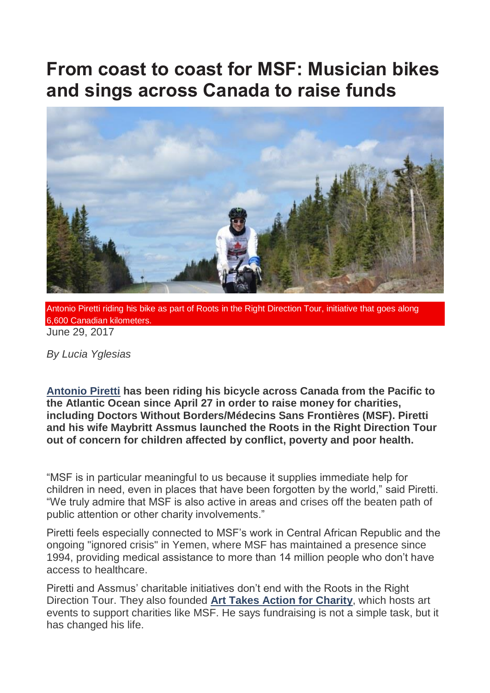## **From coast to coast for MSF: Musician bikes and sings across Canada to raise funds**



Antonio Piretti riding his bike as part of Roots in the Right Direction Tour, initiative that goes along 6,600 Canadian kilometers. June 29, 2017

*By Lucia Yglesias*

**[Antonio Piretti](https://www.antoniopirettitoz.com/) has been riding his bicycle across Canada from the Pacific to the Atlantic Ocean since April 27 in order to raise money for charities, including Doctors Without Borders/Médecins Sans Frontières (MSF). Piretti and his wife Maybritt Assmus launched the Roots in the Right Direction Tour out of concern for children affected by conflict, poverty and poor health.**

"MSF is in particular meaningful to us because it supplies immediate help for children in need, even in places that have been forgotten by the world," said Piretti. "We truly admire that MSF is also active in areas and crises off the beaten path of public attention or other charity involvements."

Piretti feels especially connected to MSF"s work in Central African Republic and the ongoing "ignored crisis" in Yemen, where MSF has maintained a presence since 1994, providing medical assistance to more than 14 million people who don"t have access to healthcare.

Piretti and Assmus" charitable initiatives don"t end with the Roots in the Right Direction Tour. They also founded **[Art Takes Action for Charity](https://www.arttakesactionforcharity.com/)**, which hosts art events to support charities like MSF. He says fundraising is not a simple task, but it has changed his life.